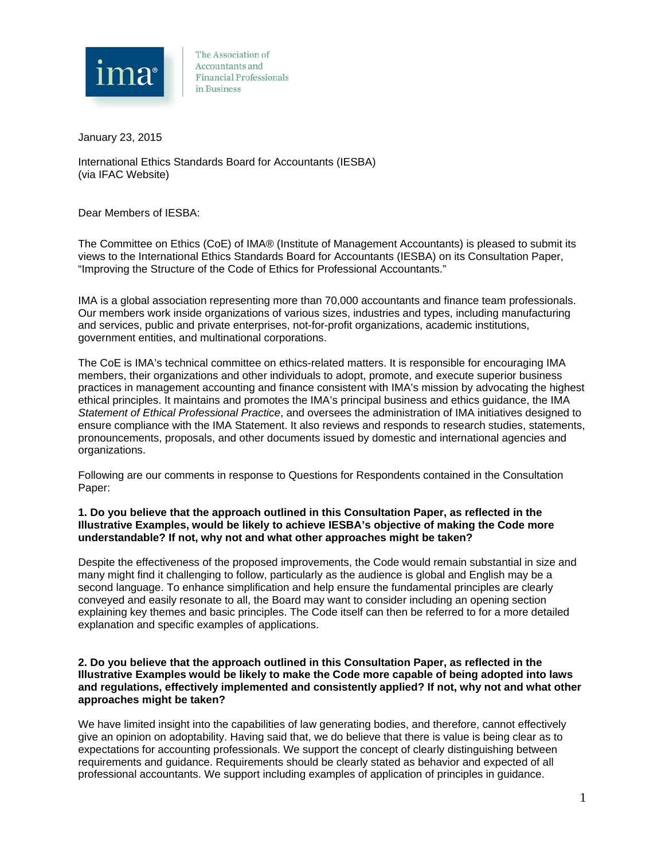

The Association of Accountants and **Financial Professionals** in Business

January 23, 2015

International Ethics Standards Board for Accountants (IESBA) (via IFAC Website)

Dear Members of IESBA:

The Committee on Ethics (CoE) of IMA® (Institute of Management Accountants) is pleased to submit its views to the International Ethics Standards Board for Accountants (IESBA) on its Consultation Paper, "Improving the Structure of the Code of Ethics for Professional Accountants."

IMA is a global association representing more than 70,000 accountants and finance team professionals. Our members work inside organizations of various sizes, industries and types, including manufacturing and services, public and private enterprises, not-for-profit organizations, academic institutions, government entities, and multinational corporations.

The CoE is IMA's technical committee on ethics-related matters. It is responsible for encouraging IMA members, their organizations and other individuals to adopt, promote, and execute superior business practices in management accounting and finance consistent with IMA's mission by advocating the highest ethical principles. It maintains and promotes the IMA's principal business and ethics guidance, the IMA *Statement of Ethical Professional Practice*, and oversees the administration of IMA initiatives designed to ensure compliance with the IMA Statement. It also reviews and responds to research studies, statements, pronouncements, proposals, and other documents issued by domestic and international agencies and organizations.

Following are our comments in response to Questions for Respondents contained in the Consultation Paper:

#### **1. Do you believe that the approach outlined in this Consultation Paper, as reflected in the Illustrative Examples, would be likely to achieve IESBA's objective of making the Code more understandable? If not, why not and what other approaches might be taken?**

Despite the effectiveness of the proposed improvements, the Code would remain substantial in size and many might find it challenging to follow, particularly as the audience is global and English may be a second language. To enhance simplification and help ensure the fundamental principles are clearly conveyed and easily resonate to all, the Board may want to consider including an opening section explaining key themes and basic principles. The Code itself can then be referred to for a more detailed explanation and specific examples of applications.

#### **2. Do you believe that the approach outlined in this Consultation Paper, as reflected in the Illustrative Examples would be likely to make the Code more capable of being adopted into laws and regulations, effectively implemented and consistently applied? If not, why not and what other approaches might be taken?**

We have limited insight into the capabilities of law generating bodies, and therefore, cannot effectively give an opinion on adoptability. Having said that, we do believe that there is value is being clear as to expectations for accounting professionals. We support the concept of clearly distinguishing between requirements and guidance. Requirements should be clearly stated as behavior and expected of all professional accountants. We support including examples of application of principles in guidance.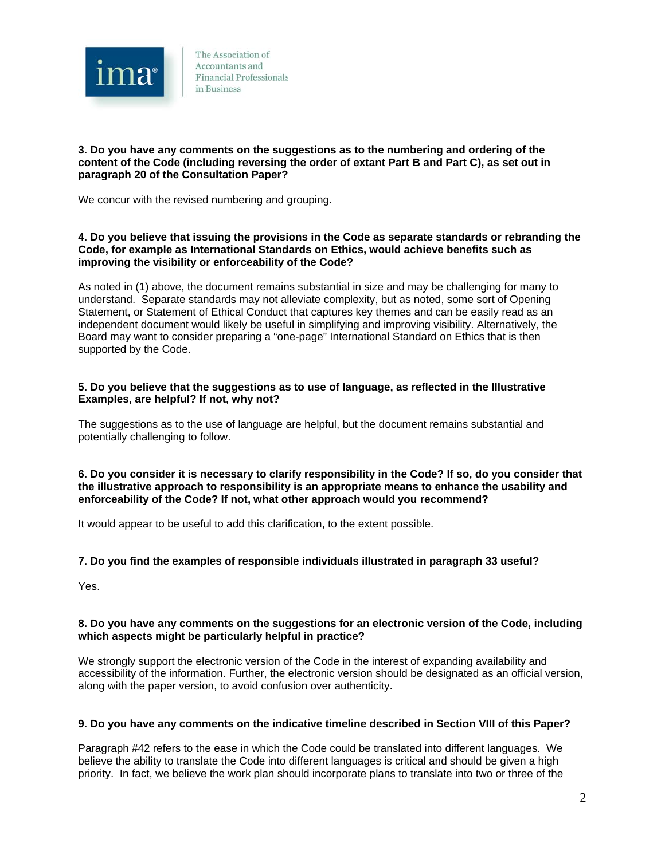

## **3. Do you have any comments on the suggestions as to the numbering and ordering of the content of the Code (including reversing the order of extant Part B and Part C), as set out in paragraph 20 of the Consultation Paper?**

We concur with the revised numbering and grouping.

## **4. Do you believe that issuing the provisions in the Code as separate standards or rebranding the Code, for example as International Standards on Ethics, would achieve benefits such as improving the visibility or enforceability of the Code?**

As noted in (1) above, the document remains substantial in size and may be challenging for many to understand. Separate standards may not alleviate complexity, but as noted, some sort of Opening Statement, or Statement of Ethical Conduct that captures key themes and can be easily read as an independent document would likely be useful in simplifying and improving visibility. Alternatively, the Board may want to consider preparing a "one-page" International Standard on Ethics that is then supported by the Code.

## **5. Do you believe that the suggestions as to use of language, as reflected in the Illustrative Examples, are helpful? If not, why not?**

The suggestions as to the use of language are helpful, but the document remains substantial and potentially challenging to follow.

#### **6. Do you consider it is necessary to clarify responsibility in the Code? If so, do you consider that the illustrative approach to responsibility is an appropriate means to enhance the usability and enforceability of the Code? If not, what other approach would you recommend?**

It would appear to be useful to add this clarification, to the extent possible.

# **7. Do you find the examples of responsible individuals illustrated in paragraph 33 useful?**

Yes.

## **8. Do you have any comments on the suggestions for an electronic version of the Code, including which aspects might be particularly helpful in practice?**

We strongly support the electronic version of the Code in the interest of expanding availability and accessibility of the information. Further, the electronic version should be designated as an official version, along with the paper version, to avoid confusion over authenticity.

# **9. Do you have any comments on the indicative timeline described in Section VIII of this Paper?**

Paragraph #42 refers to the ease in which the Code could be translated into different languages. We believe the ability to translate the Code into different languages is critical and should be given a high priority. In fact, we believe the work plan should incorporate plans to translate into two or three of the